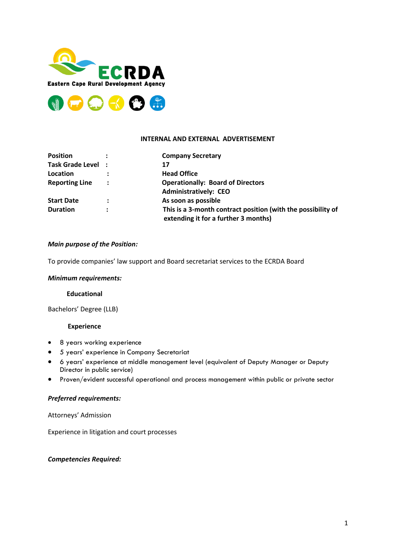



### **INTERNAL AND EXTERNAL ADVERTISEMENT**

| <b>Position</b>       |                | <b>Company Secretary</b>                                     |
|-----------------------|----------------|--------------------------------------------------------------|
| Task Grade Level :    |                | 17                                                           |
| Location              |                | <b>Head Office</b>                                           |
| <b>Reporting Line</b> | :              | <b>Operationally: Board of Directors</b>                     |
|                       |                | <b>Administratively: CEO</b>                                 |
| <b>Start Date</b>     | $\ddot{\cdot}$ | As soon as possible                                          |
| <b>Duration</b>       | $\bullet$      | This is a 3-month contract position (with the possibility of |
|                       |                | extending it for a further 3 months)                         |

### *Main purpose of the Position:*

To provide companies' law support and Board secretariat services to the ECRDA Board

#### *Minimum requirements:*

## **Educational**

Bachelors' Degree (LLB)

#### **Experience**

- 8 years working experience
- 5 years' experience in Company Secretariat
- 6 years' experience at middle management level (equivalent of Deputy Manager or Deputy Director in public service)
- Proven/evident successful operational and process management within public or private sector

#### *Preferred requirements:*

Attorneys' Admission

Experience in litigation and court processes

*Competencies Required:*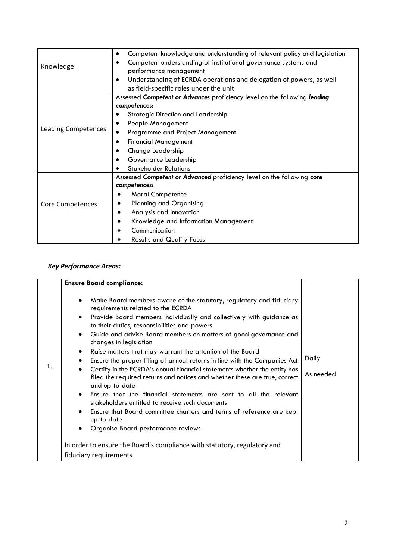| Knowledge                  | Competent knowledge and understanding of relevant policy and legislation<br>٠<br>Competent understanding of institutional governance systems and<br>$\bullet$<br>performance management<br>Understanding of ECRDA operations and delegation of powers, as well<br>$\bullet$<br>as field-specific roles under the unit     |
|----------------------------|---------------------------------------------------------------------------------------------------------------------------------------------------------------------------------------------------------------------------------------------------------------------------------------------------------------------------|
| <b>Leading Competences</b> | Assessed Competent or Advances proficiency level on the following leading<br>competences:<br><b>Strategic Direction and Leadership</b><br>People Management<br>Programme and Project Management<br><b>Financial Management</b><br>$\bullet$<br>Change Leadership<br>Governance Leadership<br><b>Stakeholder Relations</b> |
| Core Competences           | Assessed Competent or Advanced proficiency level on the following core<br>competences:<br><b>Moral Competence</b><br><b>Planning and Organising</b><br>Analysis and Innovation<br>٠<br>Knowledge and Information Management<br>٠<br>Communication<br><b>Results and Quality Focus</b>                                     |

# *Key Performance Areas:*

|    | <b>Ensure Board compliance:</b>                                                                                                                                                                                                                                                                                                                                                                                                                                                                                                                                                                                                                                                                                                                                                                                                                                                                                                                                                      |                    |
|----|--------------------------------------------------------------------------------------------------------------------------------------------------------------------------------------------------------------------------------------------------------------------------------------------------------------------------------------------------------------------------------------------------------------------------------------------------------------------------------------------------------------------------------------------------------------------------------------------------------------------------------------------------------------------------------------------------------------------------------------------------------------------------------------------------------------------------------------------------------------------------------------------------------------------------------------------------------------------------------------|--------------------|
| 1. | Make Board members aware of the statutory, regulatory and fiduciary<br>$\bullet$<br>requirements related to the ECRDA<br>Provide Board members individually and collectively with guidance as<br>$\bullet$<br>to their duties, responsibilities and powers<br>Guide and advise Board members on matters of good governance and<br>$\bullet$<br>changes in legislation<br>Raise matters that may warrant the attention of the Board<br>٠<br>Ensure the proper filing of annual returns in line with the Companies Act<br>Certify in the ECRDA's annual financial statements whether the entity has<br>filed the required returns and notices and whether these are true, correct<br>and up-to-date<br>Ensure that the financial statements are sent to all the relevant<br>$\bullet$<br>stakeholders entitled to receive such documents<br>Ensure that Board committee charters and terms of reference are kept<br>٠<br>up-to-date<br>Organise Board performance reviews<br>$\bullet$ | Daily<br>As needed |
|    | In order to ensure the Board's compliance with statutory, regulatory and                                                                                                                                                                                                                                                                                                                                                                                                                                                                                                                                                                                                                                                                                                                                                                                                                                                                                                             |                    |
|    | fiduciary requirements.                                                                                                                                                                                                                                                                                                                                                                                                                                                                                                                                                                                                                                                                                                                                                                                                                                                                                                                                                              |                    |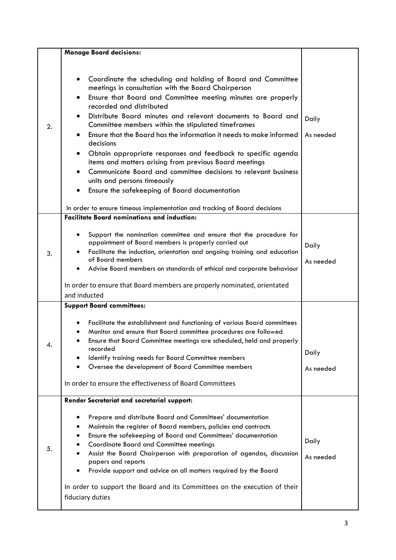|    | <b>Manage Board decisions:</b>                                                                                                                                                                                                                                                                                                                                                                                                                                                                                                                                                                                                                                                                                                  |                    |
|----|---------------------------------------------------------------------------------------------------------------------------------------------------------------------------------------------------------------------------------------------------------------------------------------------------------------------------------------------------------------------------------------------------------------------------------------------------------------------------------------------------------------------------------------------------------------------------------------------------------------------------------------------------------------------------------------------------------------------------------|--------------------|
| 2. | Coordinate the scheduling and holding of Board and Committee<br>meetings in consultation with the Board Chairperson<br>Ensure that Board and Committee meeting minutes are properly<br>recorded and distributed<br>Distribute Board minutes and relevant documents to Board and<br>$\bullet$<br>Committee members within the stipulated timeframes<br>Ensure that the Board has the information it needs to make informed<br>decisions<br>Obtain appropriate responses and feedback to specific agenda<br>items and matters arising from previous Board meetings<br>Communicate Board and committee decisions to relevant business<br>$\bullet$<br>units and persons timeously<br>Ensure the safekeeping of Board documentation | Daily<br>As needed |
|    | In order to ensure timeous implementation and tracking of Board decisions                                                                                                                                                                                                                                                                                                                                                                                                                                                                                                                                                                                                                                                       |                    |
| 3. | <b>Facilitate Board nominations and induction:</b><br>Support the nomination committee and ensure that the procedure for<br>٠<br>appointment of Board members is properly carried out<br>Facilitate the induction, orientation and ongoing training and education<br>of Board members<br>Advise Board members on standards of ethical and corporate behaviour<br>In order to ensure that Board members are properly nominated, orientated<br>and inducted                                                                                                                                                                                                                                                                       | Daily<br>As needed |
|    | <b>Support Board committees:</b><br>Facilitate the establishment and functioning of various Board committees<br>Monitor and ensure that Board committee procedures are followed<br>Ensure that Board Committee meetings are scheduled, held and properly<br>recorded<br>Identify training needs for Board Committee members<br>Oversee the development of Board Committee members<br>In order to ensure the effectiveness of Board Committees                                                                                                                                                                                                                                                                                   | Daily<br>As needed |
| 5. | Render Secretariat and secretarial support:<br>Prepare and distribute Board and Committees' documentation<br>Maintain the register of Board members, policies and contracts<br>Ensure the safekeeping of Board and Committees' documentation<br><b>Coordinate Board and Committee meetings</b><br>Assist the Board Chairperson with preparation of agendas, discussion<br>papers and reports<br>Provide support and advice on all matters required by the Board<br>In order to support the Board and its Committees on the execution of their<br>fiduciary duties                                                                                                                                                               | Daily<br>As needed |